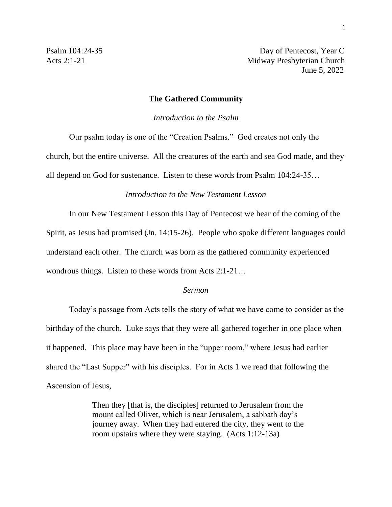Psalm 104:24-35 Day of Pentecost, Year C Acts 2:1-21 Midway Presbyterian Church June 5, 2022

## **The Gathered Community**

*Introduction to the Psalm*

Our psalm today is one of the "Creation Psalms." God creates not only the church, but the entire universe. All the creatures of the earth and sea God made, and they all depend on God for sustenance. Listen to these words from Psalm 104:24-35…

## *Introduction to the New Testament Lesson*

In our New Testament Lesson this Day of Pentecost we hear of the coming of the Spirit, as Jesus had promised (Jn. 14:15-26). People who spoke different languages could understand each other. The church was born as the gathered community experienced wondrous things. Listen to these words from Acts 2:1-21…

## *Sermon*

Today's passage from Acts tells the story of what we have come to consider as the birthday of the church. Luke says that they were all gathered together in one place when it happened. This place may have been in the "upper room," where Jesus had earlier shared the "Last Supper" with his disciples. For in Acts 1 we read that following the Ascension of Jesus,

> Then they [that is, the disciples] returned to Jerusalem from the mount called Olivet, which is near Jerusalem, a sabbath day's journey away. When they had entered the city, they went to the room upstairs where they were staying. (Acts 1:12-13a)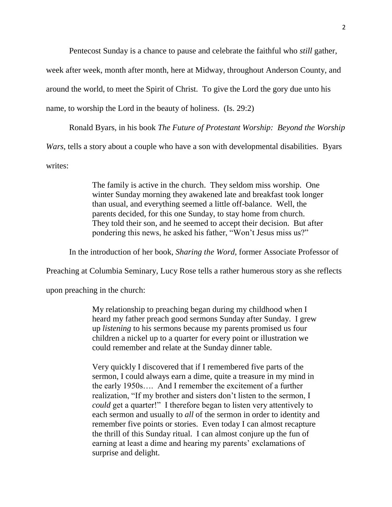Pentecost Sunday is a chance to pause and celebrate the faithful who *still* gather,

week after week, month after month, here at Midway, throughout Anderson County, and around the world, to meet the Spirit of Christ. To give the Lord the gory due unto his

name, to worship the Lord in the beauty of holiness. (Is. 29:2)

Ronald Byars, in his book *The Future of Protestant Worship: Beyond the Worship Wars*, tells a story about a couple who have a son with developmental disabilities. Byars writes:

> The family is active in the church. They seldom miss worship. One winter Sunday morning they awakened late and breakfast took longer than usual, and everything seemed a little off-balance. Well, the parents decided, for this one Sunday, to stay home from church. They told their son, and he seemed to accept their decision. But after pondering this news, he asked his father, "Won't Jesus miss us?"

In the introduction of her book, *Sharing the Word*, former Associate Professor of

Preaching at Columbia Seminary, Lucy Rose tells a rather humerous story as she reflects

upon preaching in the church:

My relationship to preaching began during my childhood when I heard my father preach good sermons Sunday after Sunday. I grew up *listening* to his sermons because my parents promised us four children a nickel up to a quarter for every point or illustration we could remember and relate at the Sunday dinner table.

Very quickly I discovered that if I remembered five parts of the sermon, I could always earn a dime, quite a treasure in my mind in the early 1950s…. And I remember the excitement of a further realization, "If my brother and sisters don't listen to the sermon, I *could* get a quarter!" I therefore began to listen very attentively to each sermon and usually to *all* of the sermon in order to identity and remember five points or stories. Even today I can almost recapture the thrill of this Sunday ritual. I can almost conjure up the fun of earning at least a dime and hearing my parents' exclamations of surprise and delight.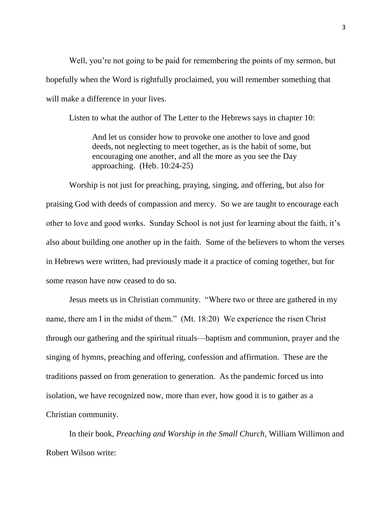Well, you're not going to be paid for remembering the points of my sermon, but hopefully when the Word is rightfully proclaimed, you will remember something that will make a difference in your lives.

Listen to what the author of The Letter to the Hebrews says in chapter 10:

And let us consider how to provoke one another to love and good deeds, not neglecting to meet together, as is the habit of some, but encouraging one another, and all the more as you see the Day approaching. (Heb. 10:24-25)

Worship is not just for preaching, praying, singing, and offering, but also for praising God with deeds of compassion and mercy. So we are taught to encourage each other to love and good works. Sunday School is not just for learning about the faith, it's also about building one another up in the faith. Some of the believers to whom the verses in Hebrews were written, had previously made it a practice of coming together, but for some reason have now ceased to do so.

Jesus meets us in Christian community. "Where two or three are gathered in my name, there am I in the midst of them." (Mt. 18:20) We experience the risen Christ through our gathering and the spiritual rituals—baptism and communion, prayer and the singing of hymns, preaching and offering, confession and affirmation. These are the traditions passed on from generation to generation. As the pandemic forced us into isolation, we have recognized now, more than ever, how good it is to gather as a Christian community.

In their book, *Preaching and Worship in the Small Church*, William Willimon and Robert Wilson write: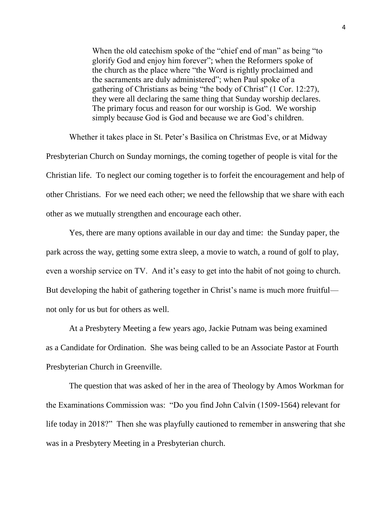When the old catechism spoke of the "chief end of man" as being "to glorify God and enjoy him forever"; when the Reformers spoke of the church as the place where "the Word is rightly proclaimed and the sacraments are duly administered"; when Paul spoke of a gathering of Christians as being "the body of Christ" (1 Cor. 12:27), they were all declaring the same thing that Sunday worship declares. The primary focus and reason for our worship is God. We worship simply because God is God and because we are God's children.

Whether it takes place in St. Peter's Basilica on Christmas Eve, or at Midway Presbyterian Church on Sunday mornings, the coming together of people is vital for the Christian life. To neglect our coming together is to forfeit the encouragement and help of other Christians. For we need each other; we need the fellowship that we share with each other as we mutually strengthen and encourage each other.

Yes, there are many options available in our day and time: the Sunday paper, the park across the way, getting some extra sleep, a movie to watch, a round of golf to play, even a worship service on TV. And it's easy to get into the habit of not going to church. But developing the habit of gathering together in Christ's name is much more fruitful not only for us but for others as well.

At a Presbytery Meeting a few years ago, Jackie Putnam was being examined as a Candidate for Ordination. She was being called to be an Associate Pastor at Fourth Presbyterian Church in Greenville.

The question that was asked of her in the area of Theology by Amos Workman for the Examinations Commission was: "Do you find John Calvin (1509-1564) relevant for life today in 2018?" Then she was playfully cautioned to remember in answering that she was in a Presbytery Meeting in a Presbyterian church.